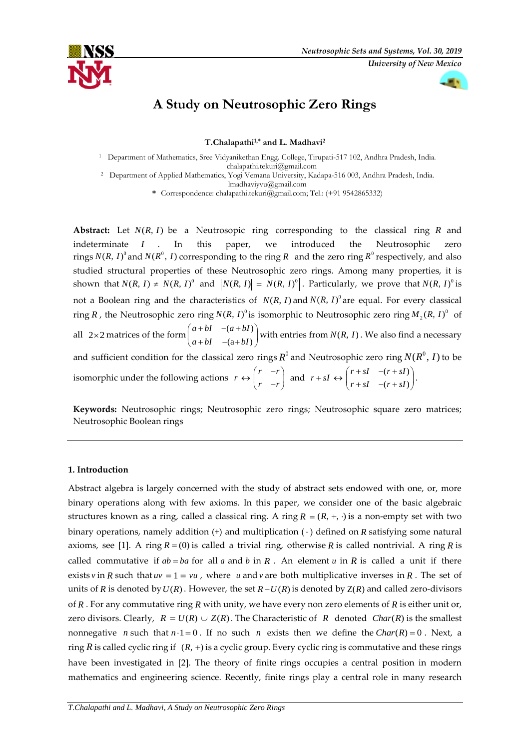



# **A Study on Neutrosophic Zero Rings**

**T.Chalapathi1,\* and L. Madhavi<sup>2</sup>**

<sup>1</sup> Department of Mathematics, Sree Vidyanikethan Engg. College, Tirupati-517 102, Andhra Pradesh, India. chalapathi.tekuri@gmail.com

<sup>2</sup> Department of Applied Mathematics, Yogi Vemana University, Kadapa-516 003, Andhra Pradesh, India.

lmadhaviyvu@gmail.com

**\*** Correspondence: chalapathi.tekuri@gmail.com; Tel.: (+91 9542865332)

Abstract: Let  $N(R, I)$  be a Neutrosopic ring corresponding to the classical ring R and indeterminate *I* . . In this paper, we introduced the Neutrosophic zero rings  $N(R, I)^0$  and  $N(R^0, I)$  corresponding to the ring R and the zero ring  $R^0$  respectively, and also studied structural properties of these Neutrosophic zero rings. Among many properties, it is shown that  $N(R, I) \neq N(R, I)^0$  and  $|N(R, I)| = |N(R, I)^0|$ . Particularly, we prove that  $N(R, I)^0$  is not a Boolean ring and the characteristics of  $N(R, I)$  and  $N(R, I)$ <sup>0</sup> are equal. For every classical ring R , the Neutrosophic zero ring  $N(R, I)^0$  is isomorphic to Neutrosophic zero ring  $M_2(R, I)^0$  of all 2×2 matrices of the form  $\begin{pmatrix} a+bI & -(a+bI) \\ l & l & (a+I) \end{pmatrix}$  $(a + bI)$  $a + bI - (a + bI)$  $a + bI$   $-(a + bI)$  $\begin{pmatrix} a+bl & -(a+bl) \end{pmatrix}$  $\begin{pmatrix} a & b \\ a+bI & -(a+bI) \end{pmatrix}$  with entries from  $N(R, I)$ . We also find a necessary and sufficient condition for the classical zero rings  $R^0$  and Neutrosophic zero ring  $N(R^0,I)$  to be isomorphic under the following actions  $r \leftrightarrow \begin{pmatrix} r & -r \end{pmatrix}$ *r r*  $(r - r)$  $\begin{pmatrix} r & -r \\ r & -r \end{pmatrix}$  and  $r + sI \leftrightarrow \begin{pmatrix} r + sI & -(r + sI) \\ r + sI & -(r + sI) \end{pmatrix}$  $(r + sI)$  $r + sI - (r + sI)$  $r + sI$   $-(r + sI)$  $\begin{pmatrix} r + sI & -(r + sI) \end{pmatrix}$  $\begin{pmatrix} r+sl & -(r+sl) \end{pmatrix}$ .

**Keywords:** Neutrosophic rings; Neutrosophic zero rings; Neutrosophic square zero matrices; Neutrosophic Boolean rings

## **1. Introduction**

Abstract algebra is largely concerned with the study of abstract sets endowed with one, or, more binary operations along with few axioms. In this paper, we consider one of the basic algebraic structures known as a ring, called a classical ring. A ring  $R = (R, +, \cdot)$  is a non-empty set with two binary operations, namely addition  $(+)$  and multiplication  $(+)$  defined on  $R$  satisfying some natural axioms, see [1]. A ring  $R = (0)$  is called a trivial ring, otherwise R is called nontrivial. A ring R is called commutative if  $ab = ba$  for all a and b in R. An element u in R is called a unit if there exists *v* in *R* such that  $uv = 1 = vu$ , where *u* and *v* are both multiplicative inverses in *R*. The set of units of *R* is denoted by  $U(R)$ . However, the set  $R-U(R)$  is denoted by  $Z(R)$  and called zero-divisors of R. For any commutative ring R with unity, we have every non zero elements of R is either unit or, zero divisors. Clearly,  $R = U(R) \cup Z(R)$ . The Characteristic of R denoted Char(R) is the smallest nonnegative *n* such that  $n \cdot 1 = 0$ . If no such *n* exists then we define the *Char*(*R*) = 0. Next, a ring  $R$  is called cyclic ring if  $(R, +)$  is a cyclic group. Every cyclic ring is commutative and these rings have been investigated in [2]. The theory of finite rings occupies a central position in modern mathematics and engineering science. Recently, finite rings play a central role in many research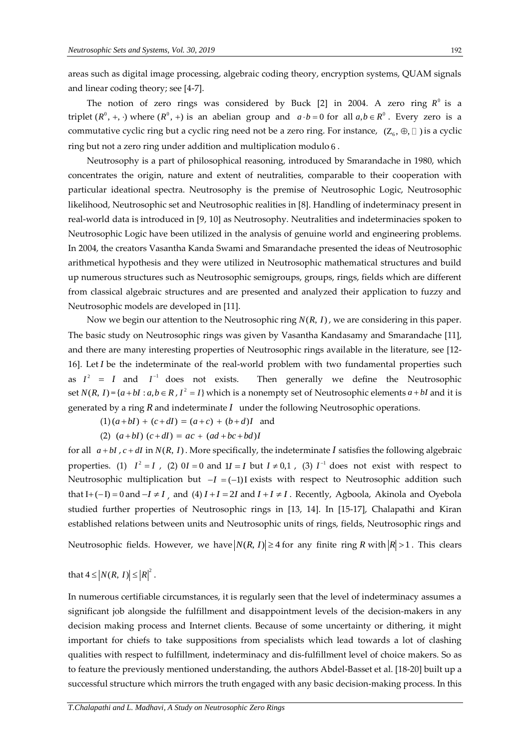areas such as digital image processing, algebraic coding theory, encryption systems, QUAM signals and linear coding theory; see [4-7].

The notion of zero rings was considered by Buck  $[2]$  in 2004. A zero ring  $R^0$  is a triplet  $(R^0, +, \cdot)$  where  $(R^0, +)$  is an abelian group and  $a \cdot b = 0$  for all  $a, b \in R^0$ . Every zero is a commutative cyclic ring but a cyclic ring need not be a zero ring. For instance,  $(Z_6, \oplus, \Box)$  is a cyclic ring but not a zero ring under addition and multiplication modulo 6 .

Neutrosophy is a part of philosophical reasoning, introduced by Smarandache in 1980, which concentrates the origin, nature and extent of neutralities, comparable to their cooperation with particular ideational spectra. Neutrosophy is the premise of Neutrosophic Logic, Neutrosophic likelihood, Neutrosophic set and Neutrosophic realities in [8]. Handling of indeterminacy present in real-world data is introduced in [9, 10] as Neutrosophy. Neutralities and indeterminacies spoken to Neutrosophic Logic have been utilized in the analysis of genuine world and engineering problems. In 2004, the creators Vasantha Kanda Swami and Smarandache presented the ideas of Neutrosophic arithmetical hypothesis and they were utilized in Neutrosophic mathematical structures and build up numerous structures such as Neutrosophic semigroups, groups, rings, fields which are different from classical algebraic structures and are presented and analyzed their application to fuzzy and Neutrosophic models are developed in [11].

Now we begin our attention to the Neutrosophic ring  $N(R, I)$ , we are considering in this paper. The basic study on Neutrosophic rings was given by Vasantha Kandasamy and Smarandache [11], and there are many interesting properties of Neutrosophic rings available in the literature, see [12- 16]. Let *I* be the indeterminate of the real-world problem with two fundamental properties such as  $I^2 = I$  and  $I^{-1}$ Then generally we define the Neutrosophic set  $N(R, I) = \{a + bI : a, b \in R, I^2 = I\}$  which is a nonempty set of Neutrosophic elements  $a + bI$  and it is generated by a ring R and indeterminate I under the following Neutrosophic operations.

$$
(1) (a + bI) + (c + dI) = (a + c) + (b + d)I
$$
 and

(2) 
$$
(a+bl) (c+dl) = ac + (ad+bc+bd)I
$$

for all  $a + bI$ ,  $c + dI$  in  $N(R, I)$ . More specifically, the indeterminate  $I$  satisfies the following algebraic properties. (1)  $I^2 = I$ , (2)  $0I = 0$  and  $1I = I$  but  $I \neq 0,1$ , (3)  $I^{-1}$  does not exist with respect to Neutrosophic multiplication but  $-I = (-1)I$  exists with respect to Neutrosophic addition such that  $I + (-I) = 0$  and  $-I \neq I$ , and (4)  $I + I = 2I$  and  $I + I \neq I$ . Recently, Agboola, Akinola and Oyebola studied further properties of Neutrosophic rings in [13, 14]. In [15-17], Chalapathi and Kiran established relations between units and Neutrosophic units of rings, fields, Neutrosophic rings and Neutrosophic fields. However, we have  $|N(R, I)| \geq 4$  for any finite ring R with  $|R| > 1$ . This clears

that  $4 \le |N(R, I)| \le |R|^2$ .

In numerous certifiable circumstances, it is regularly seen that the level of indeterminacy assumes a significant job alongside the fulfillment and disappointment levels of the decision-makers in any decision making process and Internet clients. Because of some uncertainty or dithering, it might important for chiefs to take suppositions from specialists which lead towards a lot of clashing qualities with respect to fulfillment, indeterminacy and dis-fulfillment level of choice makers. So as to feature the previously mentioned understanding, the authors Abdel-Basset et al. [18-20] built up a successful structure which mirrors the truth engaged with any basic decision-making process. In this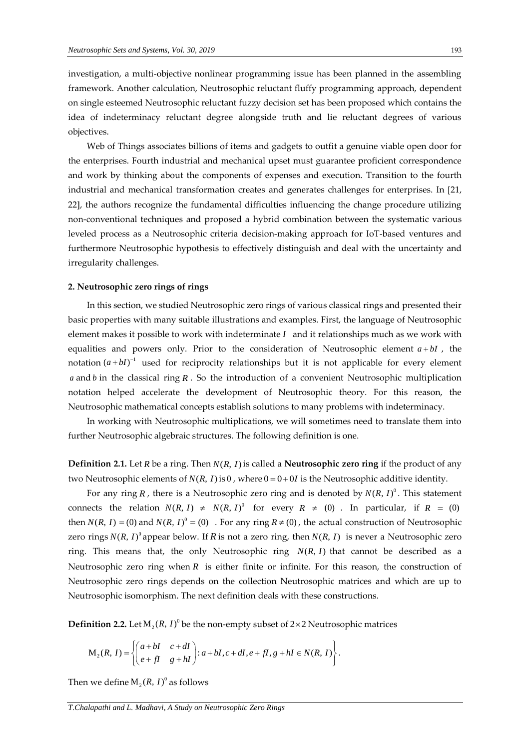investigation, a multi-objective nonlinear programming issue has been planned in the assembling framework. Another calculation, Neutrosophic reluctant fluffy programming approach, dependent on single esteemed Neutrosophic reluctant fuzzy decision set has been proposed which contains the idea of indeterminacy reluctant degree alongside truth and lie reluctant degrees of various objectives.

Web of Things associates billions of items and gadgets to outfit a genuine viable open door for the enterprises. Fourth industrial and mechanical upset must guarantee proficient correspondence and work by thinking about the components of expenses and execution. Transition to the fourth industrial and mechanical transformation creates and generates challenges for enterprises. In [21, 22], the authors recognize the fundamental difficulties influencing the change procedure utilizing non-conventional techniques and proposed a hybrid combination between the systematic various leveled process as a Neutrosophic criteria decision-making approach for IoT-based ventures and furthermore Neutrosophic hypothesis to effectively distinguish and deal with the uncertainty and irregularity challenges.

#### **2. Neutrosophic zero rings of rings**

In this section, we studied Neutrosophic zero rings of various classical rings and presented their basic properties with many suitable illustrations and examples. First, the language of Neutrosophic element makes it possible to work with indeterminate *I* and it relationships much as we work with equalities and powers only. Prior to the consideration of Neutrosophic element  $a + bI$ , the notation  $(a + bI)^{-1}$  used for reciprocity relationships but it is not applicable for every element a and b in the classical ring R. So the introduction of a convenient Neutrosophic multiplication notation helped accelerate the development of Neutrosophic theory. For this reason, the Neutrosophic mathematical concepts establish solutions to many problems with indeterminacy.

In working with Neutrosophic multiplications, we will sometimes need to translate them into further Neutrosophic algebraic structures. The following definition is one.

**Definition 2.1.** Let *R* be a ring. Then  $N(R, I)$  is called a **Neutrosophic zero ring** if the product of any two Neutrosophic elements of  $N(R, I)$  is  $0$ , where  $0 = 0 + 0I$  is the Neutrosophic additive identity.

For any ring R, there is a Neutrosophic zero ring and is denoted by  $N(R, I)^0$ . This statement connects the relation  $N(R, I) \neq N(R, I)^0$  for every  $R \neq (0)$ . In particular, if  $R = (0)$ then  $N(R, I) = (0)$  and  $N(R, I)^0 = (0)$ . For any ring  $R \neq (0)$ , the actual construction of Neutrosophic zero rings  $N(R, I)^0$  appear below. If R is not a zero ring, then  $N(R, I)$  is never a Neutrosophic zero ring. This means that, the only Neutrosophic ring  $N(R, I)$  that cannot be described as a Neutrosophic zero ring when R is either finite or infinite. For this reason, the construction of Neutrosophic zero rings depends on the collection Neutrosophic matrices and which are up to Neutrosophic isomorphism. The next definition deals with these constructions.

**Definition 2.2.** Let 
$$
M_2(R, I)^0
$$
 be the non-empty subset of 2×2 Neutrosophic matrices  
\n
$$
M_2(R, I) = \left\{ \begin{pmatrix} a + bI & c + dI \\ e + fI & g + hI \end{pmatrix} : a + bI, c + dI, e + fI, g + hI \in N(R, I) \right\}.
$$

Then we define  $\mathrm{M}_2(R,I)^0$  as follows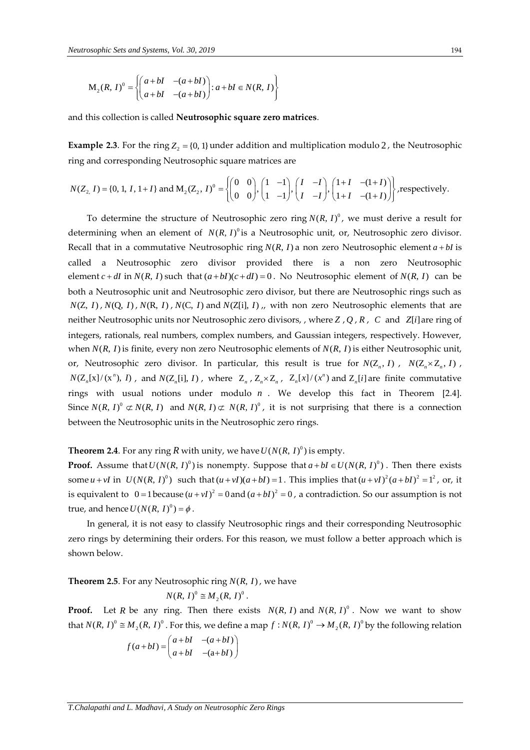$$
M_2(R, I)^0 = \left\{ \begin{pmatrix} a+bI & -(a+bI) \\ a+bI & -(a+bI) \end{pmatrix} : a+bI \in N(R, I) \right\}
$$

and this collection is called **Neutrosophic square zero matrices**.

**Example 2.3**. For the ring  $Z_2 = \{0, 1\}$  under addition and multiplication modulo 2, the Neutrosophic ring and corresponding Neutrosophic square matrices are

ring and corresponding Neutrosophic square matrices are  
\n
$$
N(Z_2, I) = \{0, 1, I, 1 + I\} \text{ and } M_2(Z_2, I)^0 = \left\{ \begin{pmatrix} 0 & 0 \\ 0 & 0 \end{pmatrix}, \begin{pmatrix} 1 & -1 \\ 1 & -1 \end{pmatrix}, \begin{pmatrix} I & -I \\ I & -I \end{pmatrix}, \begin{pmatrix} 1+I & -(1+I) \\ 1+I & -(1+I) \end{pmatrix} \right\} \text{, respectively.}
$$

*M<sub>3</sub>*(*R, 1)<sup>6</sup> = {\begin{pmatrix} u\_{12} & u\_{12} & u\_{12} & u\_{12} & u\_{12} & u\_{12} & u\_{12} & u\_{12} & u\_{12} & u\_{12} & u\_{12} & u\_{12} & u\_{12} & u\_{12} & u\_{12} & u\_{12} & u\_{12} & u\_{12} & u\_{12} & u\_{12} & u\_{12} & u\_{12} & u\_{12} & u\_{12} & u\_{12} & u\_{12} & u\_{12} & u\_{12} & u\_{12} & u\_{12} & u\_{12} & u\_{12} & u\_{* To determine the structure of Neutrosophic zero ring  $N(R, I)^0$ , we must derive a result for determining when an element of  $N(R, I)^0$  is a Neutrosophic unit, or, Neutrosophic zero divisor. Recall that in a commutative Neutrosophic ring  $N(R, I)$  a non zero Neutrosophic element  $a + bI$  is called a Neutrosophic zero divisor provided there is a non zero Neutrosophic element  $c + dI$  in  $N(R, I)$  such that  $(a + bI)(c + dI) = 0$ . No Neutrosophic element of  $N(R, I)$  can be both a Neutrosophic unit and Neutrosophic zero divisor, but there are Neutrosophic rings such as  $N(Z, I)$ ,  $N(Q, I)$ ,  $N(R, I)$ ,  $N(C, I)$  and  $N(Z[i], I)$ , with non zero Neutrosophic elements that are neither Neutrosophic units nor Neutrosophic zero divisors, , where *Z* , *Q* , *R* , *C* and *Zi*[] are ring of integers, rationals, real numbers, complex numbers, and Gaussian integers, respectively. However, when  $N(R, I)$  is finite, every non zero Neutrosophic elements of  $N(R, I)$  is either Neutrosophic unit, or, Neutrosophic zero divisor. In particular, this result is true for  $N(Z_n, I)$ ,  $N(Z_n \times Z_n, I)$ ,  $N(Z_n[x]/(x^n), I)$ , and  $N(Z_n[i], I)$ , where  $Z_n$ ,  $Z_n \times Z_n$ ,  $Z_n[x]/(x^n)$  and  $Z_n[i]$  are finite commutative rings with usual notions under modulo *n* . We develop this fact in Theorem [2.4]. Since  $N(R, I)^0 \subset N(R, I)$  and  $N(R, I) \subset N(R, I)^0$ , it is not surprising that there is a connection between the Neutrosophic units in the Neutrosophic zero rings.

**Theorem 2.4**. For any ring  $R$  with unity, we have  $U(N(R, I)^0)$  is empty.

**Proof.** Assume that  $U(N(R, I)^0)$  is nonempty. Suppose that  $a + bI \in U(N(R, I)^0)$ . Then there exists some  $u + vI$  in  $U(N(R, I)^0)$  such that  $(u + vI)(a + bI) = 1$ . This implies that  $(u + vI)^2(a + bI)^2 = 1^2$ , or, it is equivalent to  $0 = 1$  because  $(u + vI)^2 = 0$  and  $(a + bI)^2 = 0$ , a contradiction. So our assumption is not true, and hence  $U(N(R, I)^0) = \phi$ .

In general, it is not easy to classify Neutrosophic rings and their corresponding Neutrosophic zero rings by determining their orders. For this reason, we must follow a better approach which is shown below.

**Theorem 2.5**. For any Neutrosophic ring  $N(R, I)$ , we have

 $N(R, I)^{0} \cong M_{2}(R, I)^{0}$ .

**Proof.** Let *R* be any ring. Then there exists  $N(R, I)$  and  $N(R, I)^0$ . Now we want to show that  $N(R, I)^0 \cong M_2(R, I)^0$ . For this, we define a map  $f : N(R, I)^0 \to M_2(R, I)^0$  by the following relation

$$
f(a+bI) = \begin{pmatrix} a+bI & -(a+bI) \\ a+bI & -(a+bI) \end{pmatrix}
$$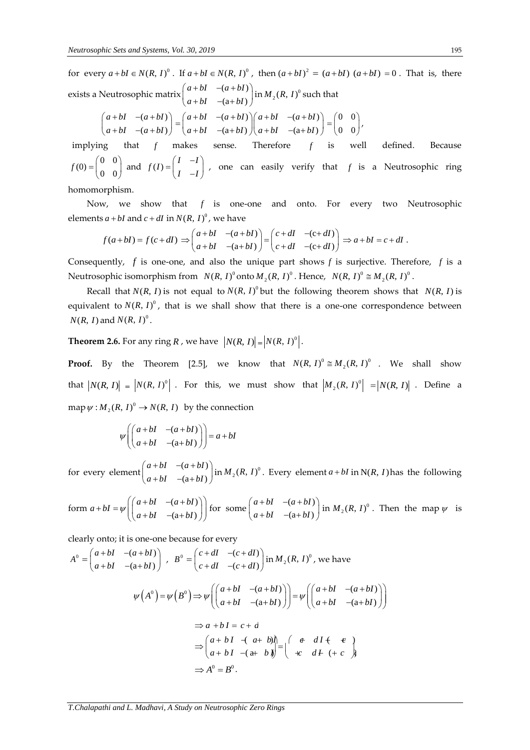for every  $a + bI \in N(R, I)^0$ . If  $a + bI \in N(R, I)^0$ , then  $(a + bI)^2 = (a + bI) (a + bI) = 0$ . That is, there exists a Neutrosophic matrix  $\begin{pmatrix} a+bI & -(a+bI) \\ -a & bI & -(a+I) \end{pmatrix}$  $(a + bI)$  $a + bI - (a + bI)$  $a + bI$   $-(a + bI)$  $\left(a+bl- (a+bl)\right)$ .  $\begin{pmatrix} a+bI & (a+bI) \\ a+bI & -(a+bI) \end{pmatrix}$  in  $M_2(R, I)^0$  such that

$$
\begin{pmatrix} a+bl & -(a+bl) \ (a+bl) & -(a+bl) \ (a+bl) & -(a+bl) \end{pmatrix} = \begin{pmatrix} a+bl & -(a+bl) \ (a+bl & -(a+bl) \ (a+bl & -(a+bl) \end{pmatrix} \begin{pmatrix} a+bl & -(a+bl) \ (a+bl & -(a+bl) \end{pmatrix} = \begin{pmatrix} 0 & 0 \ 0 & 0 \end{pmatrix},
$$

implying that *f* makes makes sense. Therefore *f* is well defined. Because  $f(0) = \begin{pmatrix} 0 & 0 \\ 0 & 0 \end{pmatrix}$  and  $f(I) = \begin{pmatrix} I & -I \\ I & -I \end{pmatrix}$  $=\begin{pmatrix} I & -I \\ I & -I \end{pmatrix}$ , one can easily verify that f is a Neutrosophic ring

homomorphism.

Now, we show that *f* is one-one and onto. For every two Neutrosophic

elements 
$$
a + bI
$$
 and  $c + dI$  in  $N(R, I)^0$ , we have  
\n
$$
f(a+bI) = f(c+dI) \Rightarrow \begin{pmatrix} a+bI & -(a+bl) \\ a+bl & -(a+bl) \end{pmatrix} = \begin{pmatrix} c+dl & -(c+dl) \\ c+dl & -(c+dl) \end{pmatrix} \Rightarrow a+bl = c+dl.
$$

Consequently, f is one-one, and also the unique part shows f is surjective. Therefore, f is a Neutrosophic isomorphism from  $N(R, I)^0$  onto  $M_2(R, I)^0$  . Hence,  $N(R, I)^0 \cong M_2(R, I)^0$  .

Recall that  $N(R, I)$  is not equal to  $N(R, I)^0$  but the following theorem shows that  $N(R, I)$  is equivalent to  $N(R, I)^0$ , that is we shall show that there is a one-one correspondence between  $N(R, I)$  and  $N(R, I)^0$ .

**Theorem 2.6.** For any ring R, we have  $\left| N(R, I) \right| = \left| N(R, I) \right|^0$ .

**Proof.** By the Theorem [2.5], we know that  $N(R, I)^0 \cong M_2(R, I)^0$  . We shall show that  $\left| N(R, I) \right| = \left| N(R, I) \right|$ . For this, we must show that  $\left| M_2(R, I) \right| = \left| N(R, I) \right|$ . Define a map  $\psi : M_2(R, I)^0 \to N(R, I)$  by the connection

$$
\psi \left( \begin{pmatrix} a+bI & -(a+bI) \\ a+bI & -(a+bI) \end{pmatrix} \right) = a+bI
$$

for every element  $\begin{pmatrix} a+bI & -(a+bI) \\ 1 & (a+II) \end{pmatrix}$  $(a + bI)$  $a + bI - (a + bI)$  $a + bI$   $-(a + bI)$  $\begin{pmatrix} a+bl & -(a+bl) \end{pmatrix}$ .  $\begin{pmatrix} a+bI & (a+bI) \ a+bI & -(a+bI) \end{pmatrix}$  in  $M_2(R, I)^0$ . Every element  $a+bI$  in N(*R*, *I*) has the following

form 
$$
a + bI = \psi \begin{pmatrix} a + bI & -(a + bI) \ (a + bI & -(a + bI) \end{pmatrix}
$$
 for some  $\begin{pmatrix} a + bI & -(a + bI) \ (a + bI & -(a + bI) \end{pmatrix}$  in  $M_2(R, I)^0$ . Then the map  $\psi$  is

clearly onto; it is one-one because for every

$$
A^{0} = \begin{pmatrix} a+bI & -(a+bI) \\ a+bI & -(a+bI) \end{pmatrix}, B^{0} = \begin{pmatrix} c+dI & -(c+dI) \\ c+dI & -(c+dI) \end{pmatrix} \text{ in } M_{2}(R, I)^{0}, \text{ we have}
$$
  

$$
\psi(A^{0}) = \psi(B^{0}) \Rightarrow \psi\left(\begin{pmatrix} a+bI & -(a+bI) \\ a+bI & -(a+bI) \end{pmatrix}\right) = \psi\left(\begin{pmatrix} a+bI & -(a+bI) \\ a+bI & -(a+bI) \end{pmatrix}\right)
$$
  

$$
\Rightarrow a+bI = c+d
$$
  

$$
\Rightarrow \begin{pmatrix} a+bI & -(a+bI) \\ a+bI & -(a+bI) \end{pmatrix} = \begin{pmatrix} e & dI & e \\ -e & dI & (+c) \end{pmatrix}
$$
  

$$
\Rightarrow A^{0} = B^{0}.
$$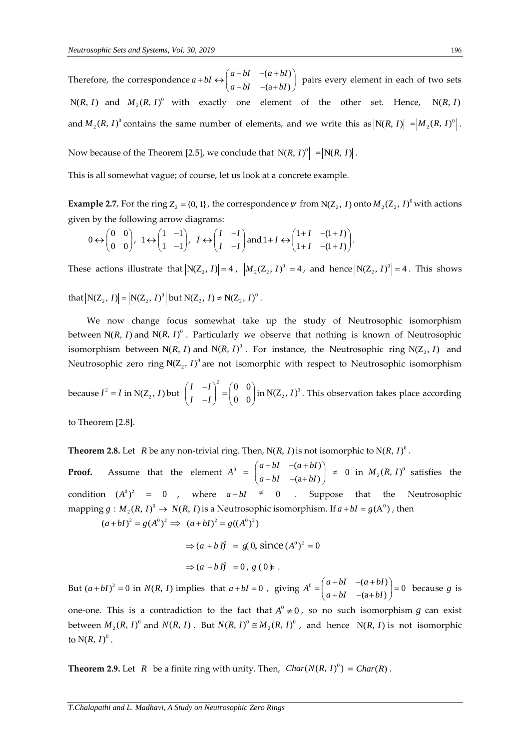Therefore, the correspondence  $a + bI \leftrightarrow \begin{pmatrix} a + bI & -(a + bI) \\ b & bI & -(a + bI) \end{pmatrix}$  $(a+bl)$  $a + bI \leftrightarrow \begin{cases} a + bI & -(a + bI) \\ a + bI & -(a + bI) \end{cases}$  $b + bI \leftrightarrow \begin{pmatrix} a+bI & -(a+bI) \\ a+bI & -(a+bI) \end{pmatrix}$  pairs every element in each of two sets  $N(R, I)$  and  $M_2(R, I)^0$  with exactly one element of the other set. Hence,  $N(R, I)$ and  $M_2(R, I)^0$  contains the same number of elements, and we write this as  $\left| N(R, I) \right| = \left| M_2(R, I)^0 \right|$ .

Now because of the Theorem [2.5], we conclude that  $\bigl|N(R,\,I)^0\bigr| \bigl| = \bigl|N(R,\,I)\bigr|$ .

This is all somewhat vague; of course, let us look at a concrete example.

**Example 2.7.** For the ring  $Z_2 = \{0, 1\}$ , the correspondence  $\psi$  from N( $Z_2$ , I) onto  $M_2(Z_2, I)^0$  with actions given by the following arrow diagrams:

$$
0 \leftrightarrow \begin{pmatrix} 0 & 0 \\ 0 & 0 \end{pmatrix}, 1 \leftrightarrow \begin{pmatrix} 1 & -1 \\ 1 & -1 \end{pmatrix}, I \leftrightarrow \begin{pmatrix} I & -I \\ I & -I \end{pmatrix} \text{and } 1 + I \leftrightarrow \begin{pmatrix} 1+I & -(1+I) \\ 1+I & -(1+I) \end{pmatrix}.
$$

These actions illustrate that  $|N(Z_2, I)| = 4$ ,  $|M_2(Z_2, I)|^0 = 4$ , and hence  $|N(Z_2, I)|^0 = 4$ . This shows

that  $|N(Z_2, I)| = |N(Z_2, I)^0|$  but  $N(Z_2, I) \neq N(Z_2, I)^0$ .

We now change focus somewhat take up the study of Neutrosophic isomorphism between  $N(R, I)$  and  $N(R, I)^0$ . Particularly we observe that nothing is known of Neutrosophic isomorphism between  $N(R, I)$  and  $N(R, I)^0$ . For instance, the Neutrosophic ring  $N(Z_2, I)$  and Neutrosophic zero ring  $N(Z_2, I)^0$  are not isomorphic with respect to Neutrosophic isomorphism

because  $I^2 = I$  in  $N(Z_2, I)$  but <sup>2</sup>  $(0\ 0$ 0 0 *I I I I*  $(I - I)^2$   $(0 0)$ .  $\begin{pmatrix} I & I \\ I & -I \end{pmatrix} = \begin{pmatrix} 0 & 0 \\ 0 & 0 \end{pmatrix}$  in N(Z<sub>2</sub>, *I*)<sup>0</sup>. This observation takes place according

to Theorem [2.8].

**Theorem 2.8.** Let  $R$  be any non-trivial ring. Then, N( $R$ ,  $I$ ) is not isomorphic to N( $R$ ,  $I$ )<sup>0</sup>.

**Proof.** Assume that the element  $A^0 = \begin{pmatrix} a+bI & -(a+bI) \\ -b & (a+I) \end{pmatrix}$  $(a + bI)$  $a + bI - (a + bI)$  $a + bI$   $-(a + bI)$  $\begin{pmatrix} a+bl & -(a+bl) \end{pmatrix}$  $\begin{pmatrix} a+bI & (a+bI) \ a+bI & -(a+bI) \end{pmatrix} \neq 0$  in  $M_2(R, I)^0$  satisfies the condition  $(A^0)^2 = 0$ , where  $a + bI \neq 0$  . Suppose that the Neutrosophic mapping  $g : M_2(R, I)^0 \to N(R, I)$  is a Neutrosophic isomorphism. If  $a + bI = g(A^0)$  , then  $(a + bI)^2 = g(A^0)^2 \implies (a + bI)^2 = g((A^0)^2)$ 

 $\Rightarrow$   $(a + b I)^2 = g(0, \text{ since } (A^0)^2 = 0$ 

$$
\Rightarrow (a+b\vec{B})^2 = 0, g(0)\neq.
$$

But  $(a + bI)^2 = 0$  in  $N(R, I)$  implies that  $a + bI = 0$ , giving  $A^0 = \begin{pmatrix} a + bI & -(a + bI) \\ a + bI & -(a + bI) \end{pmatrix} = 0$  $A^0 = \begin{cases} a + bI & -(a + bI) \\ a + bI & -(a + bI) \end{cases}$  $=\begin{pmatrix} a+bl & -(a+bl) \\ a+bl & -(a+bl) \end{pmatrix} = 0$  because *g* is

one-one. This is a contradiction to the fact that  $A^0 \neq 0$ , so no such isomorphism g can exist between  $M_2(R, I)^0$  and  $N(R, I)$ . But  $N(R, I)^0 \cong M_2(R, I)^0$ , and hence  $N(R, I)$  is not isomorphic to  $N(R, I)^0$  .

**Theorem 2.9.** Let  $R$  be a finite ring with unity. Then,  $Char(N(R, I)^0) = Char(R)$ .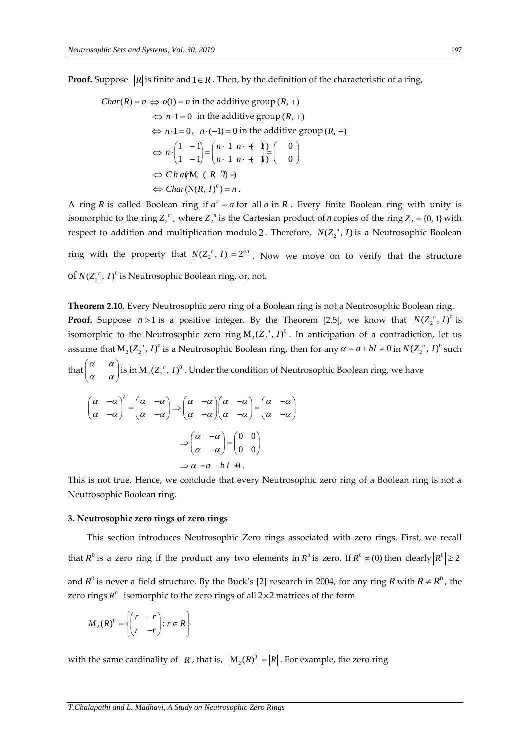**Proof.** Suppose  $|R|$  is finite and  $1 \in R$  . Then, by the definition of the characteristic of a ring,

*Char*(*R*) = *n* ⇔ *o*(1) = *n* in the additive group (*R*, +)  
\n⇔ *n*·1 = 0 in the additive group (*R*, +)  
\n⇔ *n*·1 = 0, *n*·(-1) = 0 in the additive group (*R*, +)  
\n⇔ *n*·
$$
\begin{pmatrix} 1 & -1 \\ 1 & -1 \end{pmatrix} = \begin{pmatrix} n \cdot 1 & n \cdot + \\ n \cdot 1 & n \cdot + \end{pmatrix} \begin{pmatrix} 0 \\ 0 \end{pmatrix}
$$
  
\n⇔ *Char*(**N**(*R*, *I*)<sup>0</sup>) = *n*.

A ring *R* is called Boolean ring if  $a^2 = a$  for all *a* in *R*. Every finite Boolean ring with unity is isomorphic to the ring  $Z_2^{\prime\prime}$ , where  $Z_2^{\prime\prime}$  is the Cartesian product of *n* copies of the ring  $Z_2 = \{0, 1\}$  with respect to addition and multiplication modulo 2. Therefore,  $N(Z_2^{\ n}, I)$  is a Neutrosophic Boolean

ring with the property that  $|N(Z_2^n, I)| = 2^{4n}$ . Now we move on to verify that the structure of  $N(Z_2^{\ n},I)^0$  is Neutrosophic Boolean ring, or, not.

**Theorem 2.10.** Every Neutrosophic zero ring of a Boolean ring is not a Neutrosophic Boolean ring. **Proof.** Suppose  $n > 1$  is a positive integer. By the Theorem [2.5], we know that  $N(Z_2^n, I)^0$  is isomorphic to the Neutrosophic zero ring  $M_2(Z_2^{\ n},I)^0$  . In anticipation of a contradiction, let us assume that  $M_2(Z_2^n, I)^0$  is a Neutrosophic Boolean ring, then for any  $\alpha = a + bI \neq 0$  in  $N(Z_2^n, I)^0$  such that  $\begin{vmatrix} \alpha & -\alpha \\ \alpha & \alpha \end{vmatrix}$  $\alpha$   $-\alpha$  $\begin{pmatrix} \alpha & -\alpha \end{pmatrix}$  $\begin{pmatrix} \alpha & \alpha \\ \alpha & -\alpha \end{pmatrix}$  is in  $M_2(Z_2^n, I)^0$  . Under the condition of Neutrosophic Boolean ring, we have  $(\alpha -\alpha)^2$   $(\alpha -\alpha)$  $\alpha$  -  $\alpha$ )  $\alpha$  -  $\alpha$ )  $(\alpha -\alpha)^2$   $(\alpha -\alpha)$  $\begin{pmatrix} \alpha & \alpha \\ \alpha & -\alpha \end{pmatrix} = \begin{pmatrix} \alpha & \alpha \\ \alpha & -\alpha \end{pmatrix} =$  $\alpha$  -a  $\alpha$   $\alpha$  -a  $\alpha$   $\alpha$  -a  $\alpha$  $\Rightarrow \begin{pmatrix} \alpha & -\alpha \\ \alpha & -\alpha \end{pmatrix} \begin{pmatrix} \alpha & -\alpha \\ \alpha & -\alpha \end{pmatrix} = \begin{pmatrix} \alpha & -\alpha \\ \alpha & -\alpha \end{pmatrix}$ 0 0 0 0  $\alpha$  -  $\alpha$ )  $\Rightarrow \begin{pmatrix} \alpha & -\alpha \\ \alpha & -\alpha \end{pmatrix} = \begin{pmatrix} 0 & 0 \\ 0 & 0 \end{pmatrix}$  $\Rightarrow \alpha = a + bI + \theta$ 

This is not true. Hence, we conclude that every Neutrosophic zero ring of a Boolean ring is not a Neutrosophic Boolean ring.

#### **3. Neutrosophic zero rings of zero rings**

This section introduces Neutrosophic Zero rings associated with zero rings. First, we recall that  $R^0$  is a zero ring if the product any two elements in  $R^0$  is zero. If  $R^0\neq (0)$  then clearly  $\left|R^0\right|\geq 2$ and  $R^0$  is never a field structure. By the Buck's [2] research in 2004, for any ring  $R$  with  $R \neq R^0$ , the zero rings  $R^0$  isomorphic to the zero rings of all  $2\times 2$  matrices of the form

$$
M_2(R)^0 = \left\{ \begin{pmatrix} r & -r \\ r & -r \end{pmatrix} : r \in R \right\}
$$

with the same cardinality of  $|R|$ , that is,  $|M_2(R)^0| = |R|$ . For example, the zero ring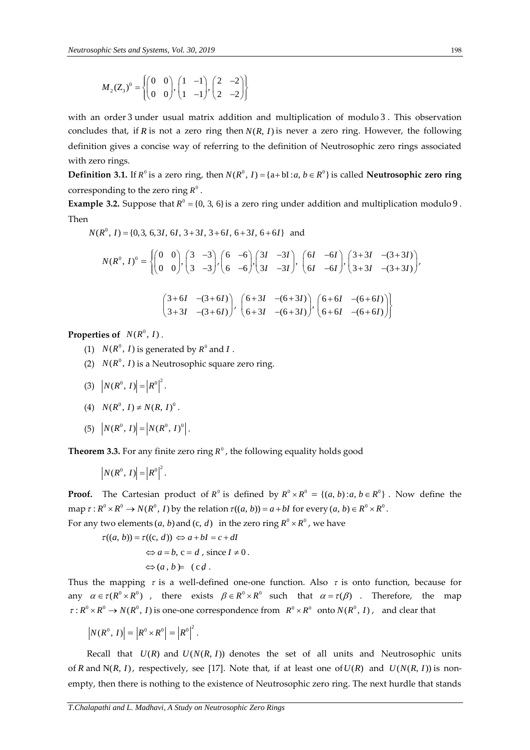$$
M_2(Z_3)^0 = \left\{ \begin{pmatrix} 0 & 0 \\ 0 & 0 \end{pmatrix}, \begin{pmatrix} 1 & -1 \\ 1 & -1 \end{pmatrix}, \begin{pmatrix} 2 & -2 \\ 2 & -2 \end{pmatrix} \right\}
$$

with an order 3 under usual matrix addition and multiplication of modulo 3. This observation concludes that, if  $R$  is not a zero ring then  $N(R, I)$  is never a zero ring. However, the following definition gives a concise way of referring to the definition of Neutrosophic zero rings associated with zero rings.

**Definition 3.1.** If  $R^0$  is a zero ring, then  $N(R^0, I) = \{a + bI : a, b \in R^0\}$  is called **Neutrosophic zero ring** corresponding to the zero ring  $R^0$  .

**Example 3.2.** Suppose that  $R^0 = \{0, 3, 6\}$  is a zero ring under addition and multiplication modulo 9. Then  $N(R^0, I) = \{0, 3, 6, 3I, 6I, 3+3I, 3+6I, 6+3I, 6+6I\}$  and

$$
M_{\pm}(Z_{\pm})^p = \begin{cases} \begin{pmatrix} 0 & 0 \\ 0 & 0 \end{pmatrix}, \begin{pmatrix} 1 & -1 \\ 1 & -1 \end{pmatrix}, \begin{pmatrix} 2 & -1 \\ 2 & -2 \end{pmatrix} \end{cases}
$$
  
\nwith an order 3 under usual matrix addition and multiplication of modulo 3. This obs  
\ncoordinates that, if *R* is not a zero ring then *N*(*R*, *I*) is never a zero ring. However, the f  
\ndefinition gives a concise way of referring to the definition of Neutrosophic zero rings as  
\nwith zero rings.  
\n**Definition 3.1.** If *R*<sup>0</sup> is a zero ring then *N*(*R*<sup>0</sup>, *I*) = {a+b1:a, *b* ∈ *R*<sup>0</sup>} is called Neutrosophic *z*  
\n**Example 3.2.** Suppose that *R*<sup>0</sup> = {0, 3, 6} is a zero ring under addition and multiplication me  
\n
$$
N(R^0, I) = [0, 3, 6, 3 + 3I, 3 + 6I, 6 + 3I, 6 + 6I]
$$
 and  
\n
$$
N(R^0, I)^0 = \begin{pmatrix} 0 & 0 \\ 0 & 0 \end{pmatrix}, \begin{pmatrix} 3 & -3 \\ 3 & -3 \end{pmatrix}, \begin{pmatrix} 6 & -6 \\ 6 & -6 \end{pmatrix}, \begin{pmatrix} 3I & -3I \\ 3I & -3I \end{pmatrix}, \begin{pmatrix} 6I & -6I \\ 6I & -6I \end{pmatrix}, \begin{pmatrix} 3+3I & -(3+3I) \\ 3+3I & -(3+3I) \end{pmatrix}
$$
  
\n
$$
= \begin{pmatrix} 3+6I & -(3+6I) \\ 3+3I & -(3+6I) \end{pmatrix}, \begin{pmatrix} 6+3I & -(6+3I) \\ 6+5I & -(6+6I) \end{pmatrix}
$$
  
\n**Properties of** *N*(*R*<sup>0</sup>, *I*) is generated by *R*<sup>0</sup> and *I*.  
\n(2) *N*(*R*<sup>0</sup>, *I*) is a Neurtosophic square zero ring.  
\n(3)

**Properties of**  $N(R^0, I)$ .

- (1)  $N(R^0, I)$  is generated by  $R^0$  and  $I$ .
- (2)  $N(R^0, I)$  is a Neutrosophic square zero ring.
- (3)  $\left| N(R^0, I) \right| = \left| R^0 \right|^2$ .
- (4)  $N(R^0, I) \neq N(R, I)^0$ .
- (5)  $|N(R^0, I)| = |N(R^0, I)|^0$ .

**Theorem 3.3.** For any finite zero ring  $R^0$  , the following equality holds good

$$
\left|N(R^0, I)\right| = \left|R^0\right|^2.
$$

**Proof.** The Cartesian product of  $R^0$  is defined by  $R^0 \times R^0 = \{(a, b) : a, b \in R^0\}$ . Now define the map  $\tau : R^0 \times R^0 \to N(R^0, I)$  by the relation  $\tau((a, b)) = a + bI$  for every  $(a, b) \in R^0 \times R^0$ .

For any two elements  $(a, b)$  and  $(c, d)$  in the zero ring  $R^0 \times R^0$  , we have

 $\tau((a, b)) = \tau((c, d)) \Leftrightarrow a + bI = c + dI$  $\Leftrightarrow a = b$ ,  $c = d$ , since  $I \neq 0$ .  $\Leftrightarrow$   $(a, b)$   $\in$   $(cd$ .

Thus the mapping  $\tau$  is a well-defined one-one function. Also  $\tau$  is onto function, because for any  $\alpha \in \tau(R^0 \times R^0)$ , there exists  $\beta \in R^0 \times R^0$  such that  $\alpha = \tau(\beta)$ . Therefore, the map  $\tau: R^0 \times R^0 \to N(R^0, I)$  is one-one correspondence from  $R^0 \times R^0$  onto  $N(R^0, I)$ , and clear that

 $N(R^0, I) = |R^0 \times R^0| = |R^0|^2$ .

Recall that  $U(R)$  and  $U(N(R, I))$  denotes the set of all units and Neutrosophic units of *R* and  $N(R, I)$ , respectively, see [17]. Note that, if at least one of  $U(R)$  and  $U(N(R, I))$  is nonempty, then there is nothing to the existence of Neutrosophic zero ring. The next hurdle that stands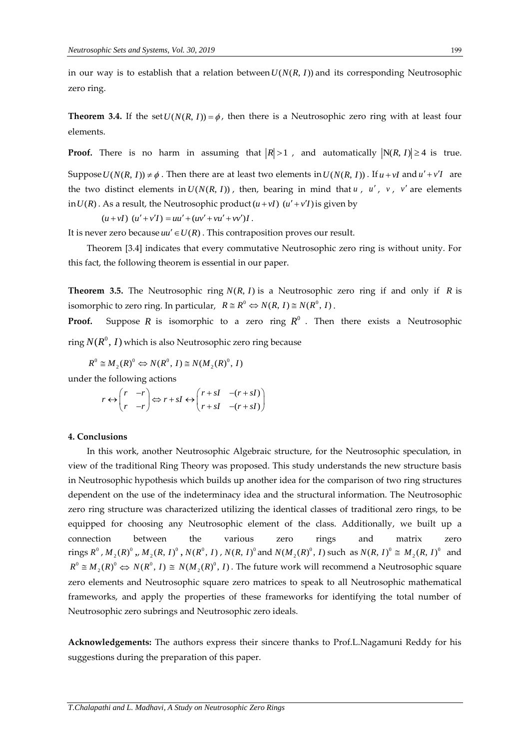in our way is to establish that a relation between  $U(N(R, I))$  and its corresponding Neutrosophic zero ring.

**Theorem 3.4.** If the set  $U(N(R, I)) = \phi$ , then there is a Neutrosophic zero ring with at least four elements.

**Proof.** There is no harm in assuming that  $|R|>1$  , and automatically  $|N(R, I)| \ge 4$  is true.

Suppose  $U(N(R, I)) \neq \phi$ . Then there are at least two elements in  $U(N(R, I))$ . If  $u + vI$  and  $u' + v'I$  are the two distinct elements in  $U(N(R, I))$ , then, bearing in mind that  $u$ ,  $u'$ ,  $v$ ,  $v'$  are elements  $\text{in } U(R)$ . As a result, the Neutrosophic product  $(u + vI)$   $(u' + v'I)$  is given by

 $(u + vI)$   $(u' + v'I) = uu' + (uv' + vu' + vv')I$ .

It is never zero because  $uu' \in U(R)$  . This contraposition proves our result.

Theorem [3.4] indicates that every commutative Neutrosophic zero ring is without unity. For this fact, the following theorem is essential in our paper.

**Theorem 3.5.** The Neutrosophic ring  $N(R, I)$  is a Neutrosophic zero ring if and only if  $R$  is isomorphic to zero ring. In particular,  $R \cong R^0 \Leftrightarrow N(R, I) \cong N(R^0, I)$ .

**Proof.** Suppose R is isomorphic to a zero ring  $R^0$  . Then there exists a Neutrosophic ring  $N(R^0,\,I)$  which is also Neutrosophic zero ring because

 $R^0 \cong M_2(R)^0 \Leftrightarrow N(R^0, I) \cong N(M_2(R)^0, I)$ 

under the following actions  
\n
$$
r \leftrightarrow \begin{pmatrix} r & -r \\ r & -r \end{pmatrix} \Leftrightarrow r + sI \leftrightarrow \begin{pmatrix} r + sI & -(r + sI) \\ r + sI & -(r + sI) \end{pmatrix}
$$

#### **4. Conclusions**

In this work, another Neutrosophic Algebraic structure, for the Neutrosophic speculation, in view of the traditional Ring Theory was proposed. This study understands the new structure basis in Neutrosophic hypothesis which builds up another idea for the comparison of two ring structures dependent on the use of the indeterminacy idea and the structural information. The Neutrosophic zero ring structure was characterized utilizing the identical classes of traditional zero rings, to be equipped for choosing any Neutrosophic element of the class. Additionally, we built up a connection between the various zero rings and matrix zero rings  $R^0$  ,  $M_2(R)^0$  ,,  $M_2(R, I)^0$  ,  $N(R^0, I)$  ,  $N(R, I)^0$  and  $N(M_2(R)^0, I)$  such as  $N(R, I)^0 \cong M_2(R, I)^0$  and  $R^0 \cong M_2(R)^0 \Leftrightarrow N(R^0, I) \cong N(M_2(R)^0, I)$ . The future work will recommend a Neutrosophic square zero elements and Neutrosophic square zero matrices to speak to all Neutrosophic mathematical frameworks, and apply the properties of these frameworks for identifying the total number of Neutrosophic zero subrings and Neutrosophic zero ideals.

**Acknowledgements:** The authors express their sincere thanks to Prof.L.Nagamuni Reddy for his suggestions during the preparation of this paper.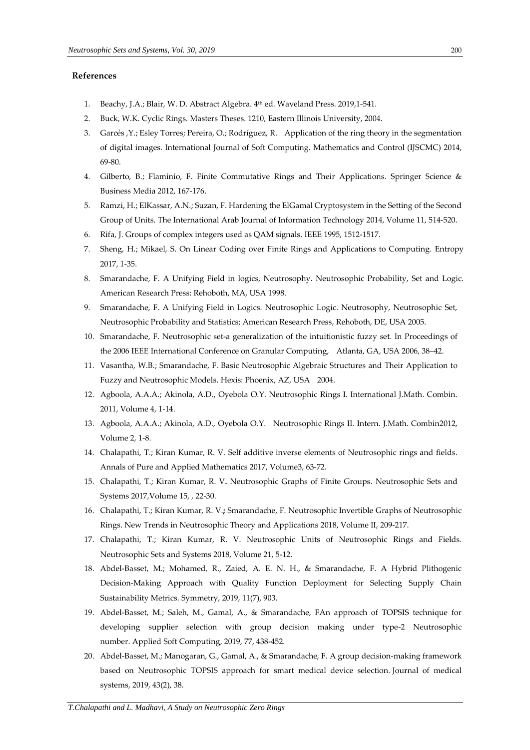### **References**

- 1. Beachy, J.A.; Blair, W. D. Abstract Algebra. 4 th ed. Waveland Press. 2019,1-541.
- 2. Buck, W.K. Cyclic Rings. Masters Theses. 1210, Eastern Illinois [University,](https://thekeep.eiu.edu/do/search/?q=author_lname%3A%22Buck%22%20author_fname%3A%22Warren%22&start=0&context=2221576) 2004.
- 3. Garcés ,Y.; Esley Torres; Pereira, O.; Rodríguez, R. Application of the ring theory in the segmentation of digital images. International Journal of Soft Computing. Mathematics and Control (IJSCMC) 2014, 69-80.
- 4. Gilberto, B.; Flaminio, F. Finite Commutative Rings and Their Applications. Springer Science & Business Media 2012, 167-176.
- 5. Ramzi, H.; ElKassar, A.N.; Suzan, F. Hardening the ElGamal Cryptosystem in the Setting of the Second Group of Units. The International Arab Journal of Information Technology 2014, Volume 11, 514-520.
- 6. Rifa, J. Groups of complex integers used as QAM signals. IEEE 1995, 1512-1517.
- 7. Sheng, H.; Mikael, S. On Linear Coding over Finite Rings and Applications to Computing. Entropy 2017, 1-35.
- 8. Smarandache, F. A Unifying Field in logics, Neutrosophy. Neutrosophic Probability, Set and Logic. American Research Press: Rehoboth, MA, USA 1998.
- 9. Smarandache, F. A Unifying Field in Logics. Neutrosophic Logic. Neutrosophy, Neutrosophic Set, Neutrosophic Probability and Statistics; American Research Press, Rehoboth, DE, USA 2005.
- 10. Smarandache, F. Neutrosophic set-a generalization of the intuitionistic fuzzy set. In Proceedings of the 2006 IEEE International Conference on Granular Computing, Atlanta, GA, USA 2006, 38–42.
- 11. Vasantha, W.B.; Smarandache, F. Basic Neutrosophic Algebraic Structures and Their Application to Fuzzy and Neutrosophic Models. Hexis: Phoenix, AZ, USA 2004.
- 12. Agboola, A.A.A.; Akinola, A.D., Oyebola O.Y. Neutrosophic Rings I. International J.Math. Combin. 2011, Volume 4, 1-14.
- 13. Agboola, A.A.A.; Akinola, A.D., Oyebola O.Y. Neutrosophic Rings II. Intern. J.Math. Combin2012, Volume 2, 1-8.
- 14. Chalapathi, T.; Kiran Kumar, R. V. Self additive inverse elements of Neutrosophic rings and fields. Annals of Pure and Applied Mathematics 2017, Volume3, 63-72.
- 15. Chalapathi, T.; Kiran Kumar, R. V**.** Neutrosophic Graphs of Finite Groups. Neutrosophic Sets and Systems 2017,Volume 15, , 22-30.
- 16. Chalapathi, T.; Kiran Kumar, R. V.**;** Smarandache, F. Neutrosophic Invertible Graphs of Neutrosophic Rings. New Trends in Neutrosophic Theory and Applications 2018, Volume II, 209-217.
- 17. Chalapathi, T.; Kiran Kumar, R. V. Neutrosophic Units of Neutrosophic Rings and Fields. Neutrosophic Sets and Systems 2018, Volume 21, 5-12.
- 18. Abdel-Basset, M.; Mohamed, R., Zaied, A. E. N. H., & Smarandache, F. A Hybrid Plithogenic Decision-Making Approach with Quality Function Deployment for Selecting Supply Chain Sustainability Metrics. Symmetry, 2019, 11(7), 903.
- 19. Abdel-Basset, M.; Saleh, M., Gamal, A., & Smarandache, FAn approach of TOPSIS technique for developing supplier selection with group decision making under type-2 Neutrosophic number. Applied Soft Computing, 2019, 77, 438-452.
- 20. Abdel-Basset, M.; Manogaran, G., Gamal, A., & Smarandache, F. A group decision-making framework based on Neutrosophic TOPSIS approach for smart medical device selection. Journal of medical systems, 2019, 43(2), 38.